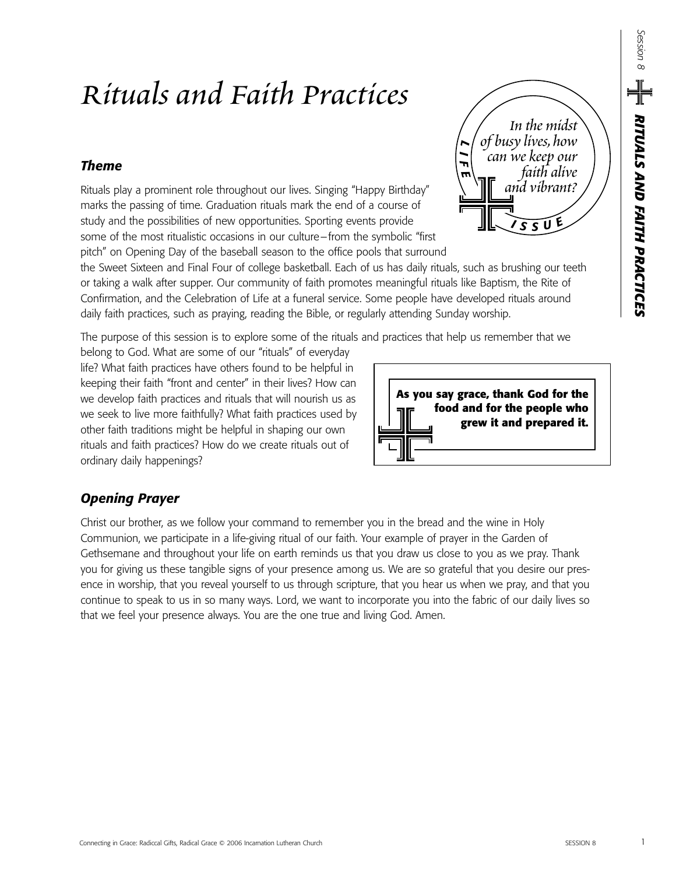# *Rituals and Faith Practices*

## *Theme*

Rituals play a prominent role throughout our lives. Singing "Happy Birthday" marks the passing of time. Graduation rituals mark the end of a course of study and the possibilities of new opportunities. Sporting events provide some of the most ritualistic occasions in our culture–from the symbolic "first pitch" on Opening Day of the baseball season to the office pools that surround

*L I F E <sup>I</sup> <sup>S</sup> <sup>S</sup> <sup>U</sup> E In the midst of busy lives,how can we keep our faith alive and vibrant?* 

the Sweet Sixteen and Final Four of college basketball. Each of us has daily rituals, such as brushing our teeth or taking a walk after supper. Our community of faith promotes meaningful rituals like Baptism, the Rite of Confirmation, and the Celebration of Life at a funeral service. Some people have developed rituals around daily faith practices, such as praying, reading the Bible, or regularly attending Sunday worship.

The purpose of this session is to explore some of the rituals and practices that help us remember that we

belong to God. What are some of our "rituals" of everyday life? What faith practices have others found to be helpful in keeping their faith "front and center" in their lives? How can we develop faith practices and rituals that will nourish us as we seek to live more faithfully? What faith practices used by other faith traditions might be helpful in shaping our own rituals and faith practices? How do we create rituals out of ordinary daily happenings?



## *Opening Prayer*

Christ our brother, as we follow your command to remember you in the bread and the wine in Holy Communion, we participate in a life-giving ritual of our faith. Your example of prayer in the Garden of Gethsemane and throughout your life on earth reminds us that you draw us close to you as we pray. Thank you for giving us these tangible signs of your presence among us. We are so grateful that you desire our presence in worship, that you reveal yourself to us through scripture, that you hear us when we pray, and that you continue to speak to us in so many ways. Lord, we want to incorporate you into the fabric of our daily lives so that we feel your presence always. You are the one true and living God. Amen.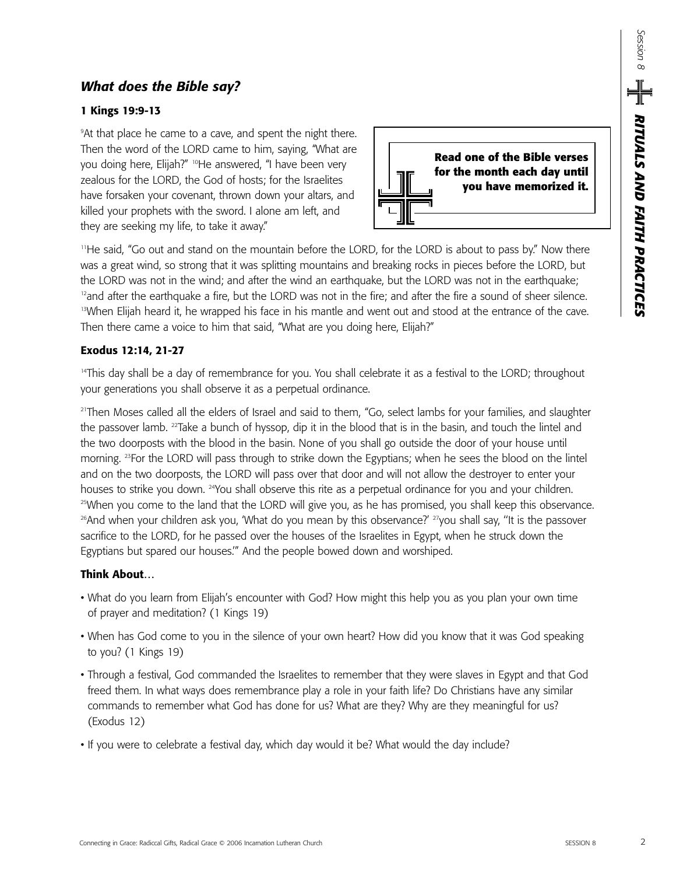## *What does the Bible say?*

#### **1 Kings 19:9-13**

9 At that place he came to a cave, and spent the night there. Then the word of the LORD came to him, saying, "What are you doing here, Elijah?" <sup>10</sup>He answered, "I have been very zealous for the LORD, the God of hosts; for the Israelites have forsaken your covenant, thrown down your altars, and killed your prophets with the sword. I alone am left, and they are seeking my life, to take it away."



<sup>11</sup>He said, "Go out and stand on the mountain before the LORD, for the LORD is about to pass by." Now there was a great wind, so strong that it was splitting mountains and breaking rocks in pieces before the LORD, but the LORD was not in the wind; and after the wind an earthquake, but the LORD was not in the earthquake;  $12$ and after the earthquake a fire, but the LORD was not in the fire; and after the fire a sound of sheer silence. <sup>13</sup>When Elijah heard it, he wrapped his face in his mantle and went out and stood at the entrance of the cave. Then there came a voice to him that said, "What are you doing here, Elijah?"

#### **Exodus 12:14, 21-27**

<sup>14</sup>This day shall be a day of remembrance for you. You shall celebrate it as a festival to the LORD; throughout your generations you shall observe it as a perpetual ordinance.

<sup>21</sup>Then Moses called all the elders of Israel and said to them, "Go, select lambs for your families, and slaughter the passover lamb. 22Take a bunch of hyssop, dip it in the blood that is in the basin, and touch the lintel and the two doorposts with the blood in the basin. None of you shall go outside the door of your house until morning. 23For the LORD will pass through to strike down the Egyptians; when he sees the blood on the lintel and on the two doorposts, the LORD will pass over that door and will not allow the destroyer to enter your houses to strike you down. <sup>24</sup>You shall observe this rite as a perpetual ordinance for you and your children. <sup>25</sup>When you come to the land that the LORD will give you, as he has promised, you shall keep this observance.  $26$ And when your children ask you, 'What do you mean by this observance?'  $27$ you shall say, "It is the passover sacrifice to the LORD, for he passed over the houses of the Israelites in Egypt, when he struck down the Egyptians but spared our houses.'" And the people bowed down and worshiped.

#### **Think About…**

- What do you learn from Elijah's encounter with God? How might this help you as you plan your own time of prayer and meditation? (1 Kings 19)
- When has God come to you in the silence of your own heart? How did you know that it was God speaking to you? (1 Kings 19)
- Through a festival, God commanded the Israelites to remember that they were slaves in Egypt and that God freed them. In what ways does remembrance play a role in your faith life? Do Christians have any similar commands to remember what God has done for us? What are they? Why are they meaningful for us? (Exodus 12)
- If you were to celebrate a festival day, which day would it be? What would the day include?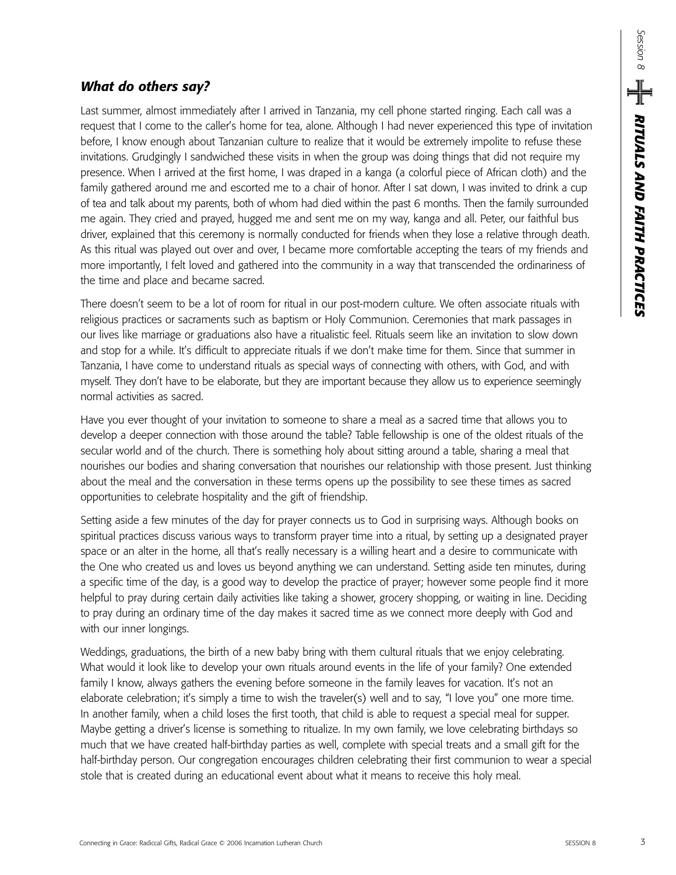## *What do others say?*

Last summer, almost immediately after I arrived in Tanzania, my cell phone started ringing. Each call was a request that I come to the caller's home for tea, alone. Although I had never experienced this type of invitation before, I know enough about Tanzanian culture to realize that it would be extremely impolite to refuse these invitations. Grudgingly I sandwiched these visits in when the group was doing things that did not require my presence. When I arrived at the first home, I was draped in a kanga (a colorful piece of African cloth) and the family gathered around me and escorted me to a chair of honor. After I sat down, I was invited to drink a cup of tea and talk about my parents, both of whom had died within the past 6 months. Then the family surrounded me again. They cried and prayed, hugged me and sent me on my way, kanga and all. Peter, our faithful bus driver, explained that this ceremony is normally conducted for friends when they lose a relative through death. As this ritual was played out over and over, I became more comfortable accepting the tears of my friends and more importantly, I felt loved and gathered into the community in a way that transcended the ordinariness of the time and place and became sacred.

There doesn't seem to be a lot of room for ritual in our post-modern culture. We often associate rituals with religious practices or sacraments such as baptism or Holy Communion. Ceremonies that mark passages in our lives like marriage or graduations also have a ritualistic feel. Rituals seem like an invitation to slow down and stop for a while. It's difficult to appreciate rituals if we don't make time for them. Since that summer in Tanzania, I have come to understand rituals as special ways of connecting with others, with God, and with myself. They don't have to be elaborate, but they are important because they allow us to experience seemingly normal activities as sacred.

Have you ever thought of your invitation to someone to share a meal as a sacred time that allows you to develop a deeper connection with those around the table? Table fellowship is one of the oldest rituals of the secular world and of the church. There is something holy about sitting around a table, sharing a meal that nourishes our bodies and sharing conversation that nourishes our relationship with those present. Just thinking about the meal and the conversation in these terms opens up the possibility to see these times as sacred opportunities to celebrate hospitality and the gift of friendship.

Setting aside a few minutes of the day for prayer connects us to God in surprising ways. Although books on spiritual practices discuss various ways to transform prayer time into a ritual, by setting up a designated prayer space or an alter in the home, all that's really necessary is a willing heart and a desire to communicate with the One who created us and loves us beyond anything we can understand. Setting aside ten minutes, during a specific time of the day, is a good way to develop the practice of prayer; however some people find it more helpful to pray during certain daily activities like taking a shower, grocery shopping, or waiting in line. Deciding to pray during an ordinary time of the day makes it sacred time as we connect more deeply with God and with our inner longings.

Weddings, graduations, the birth of a new baby bring with them cultural rituals that we enjoy celebrating. What would it look like to develop your own rituals around events in the life of your family? One extended family I know, always gathers the evening before someone in the family leaves for vacation. It's not an elaborate celebration; it's simply a time to wish the traveler(s) well and to say, "I love you" one more time. In another family, when a child loses the first tooth, that child is able to request a special meal for supper. Maybe getting a driver's license is something to ritualize. In my own family, we love celebrating birthdays so much that we have created half-birthday parties as well, complete with special treats and a small gift for the half-birthday person. Our congregation encourages children celebrating their first communion to wear a special stole that is created during an educational event about what it means to receive this holy meal.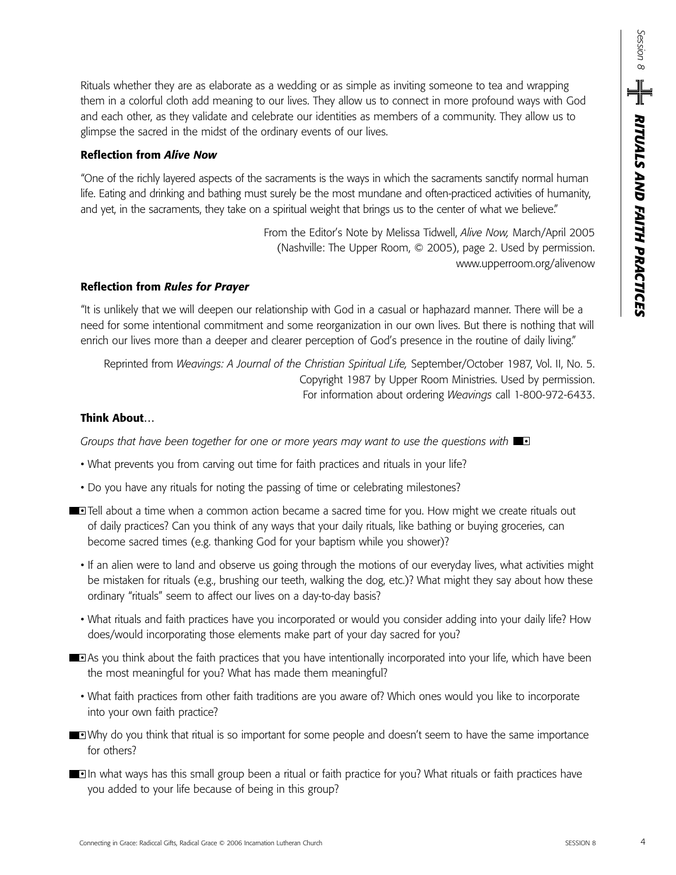Rituals whether they are as elaborate as a wedding or as simple as inviting someone to tea and wrapping them in a colorful cloth add meaning to our lives. They allow us to connect in more profound ways with God and each other, as they validate and celebrate our identities as members of a community. They allow us to glimpse the sacred in the midst of the ordinary events of our lives.

#### **Reflection from** *Alive Now*

"One of the richly layered aspects of the sacraments is the ways in which the sacraments sanctify normal human life. Eating and drinking and bathing must surely be the most mundane and often-practiced activities of humanity, and yet, in the sacraments, they take on a spiritual weight that brings us to the center of what we believe."

> From the Editor's Note by Melissa Tidwell, *Alive Now,* March/April 2005 (Nashville: The Upper Room, © 2005), page 2. Used by permission. www.upperroom.org/alivenow

#### **Reflection from** *Rules for Prayer*

"It is unlikely that we will deepen our relationship with God in a casual or haphazard manner. There will be a need for some intentional commitment and some reorganization in our own lives. But there is nothing that will enrich our lives more than a deeper and clearer perception of God's presence in the routine of daily living."

Reprinted from *Weavings: A Journal of the Christian Spiritual Life,* September/October 1987, Vol. II, No. 5. Copyright 1987 by Upper Room Ministries. Used by permission. For information about ordering *Weavings* call 1-800-972-6433.

#### **Think About…**

*Groups that have been together for one or more years may want to use the questions with* •

- What prevents you from carving out time for faith practices and rituals in your life?
- Do you have any rituals for noting the passing of time or celebrating milestones?
- **Tell about a time when a common action became a sacred time for you. How might we create rituals out** of daily practices? Can you think of any ways that your daily rituals, like bathing or buying groceries, can become sacred times (e.g. thanking God for your baptism while you shower)?
	- If an alien were to land and observe us going through the motions of our everyday lives, what activities might be mistaken for rituals (e.g., brushing our teeth, walking the dog, etc.)? What might they say about how these ordinary "rituals" seem to affect our lives on a day-to-day basis?
	- What rituals and faith practices have you incorporated or would you consider adding into your daily life? How does/would incorporating those elements make part of your day sacred for you?
- **As you think about the faith practices that you have intentionally incorporated into your life, which have been** the most meaningful for you? What has made them meaningful?
	- What faith practices from other faith traditions are you aware of? Which ones would you like to incorporate into your own faith practice?
- **Why do you think that ritual is so important for some people and doesn't seem to have the same importance** for others?
- **In what ways has this small group been a ritual or faith practice for you? What rituals or faith practices have** you added to your life because of being in this group?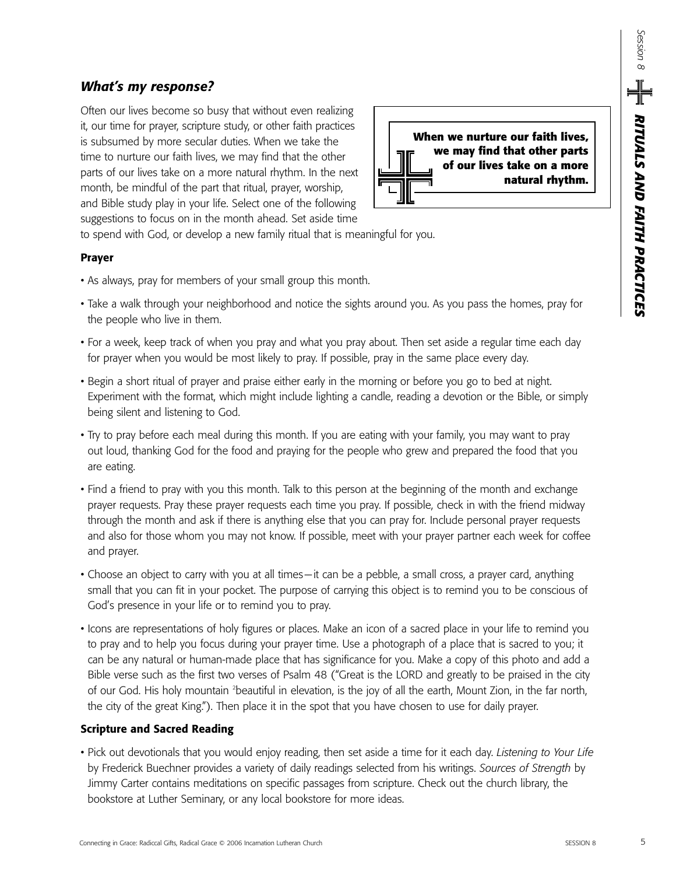## *What's my response?*

Often our lives become so busy that without even realizing it, our time for prayer, scripture study, or other faith practices is subsumed by more secular duties. When we take the time to nurture our faith lives, we may find that the other parts of our lives take on a more natural rhythm. In the next month, be mindful of the part that ritual, prayer, worship, and Bible study play in your life. Select one of the following suggestions to focus on in the month ahead. Set aside time

**When we nurture our faith lives, we may find that other parts of our lives take on a more natural rhythm.**

to spend with God, or develop a new family ritual that is meaningful for you.

#### **Prayer**

- As always, pray for members of your small group this month.
- Take a walk through your neighborhood and notice the sights around you. As you pass the homes, pray for the people who live in them.
- For a week, keep track of when you pray and what you pray about. Then set aside a regular time each day for prayer when you would be most likely to pray. If possible, pray in the same place every day.
- Begin a short ritual of prayer and praise either early in the morning or before you go to bed at night. Experiment with the format, which might include lighting a candle, reading a devotion or the Bible, or simply being silent and listening to God.
- Try to pray before each meal during this month. If you are eating with your family, you may want to pray out loud, thanking God for the food and praying for the people who grew and prepared the food that you are eating.
- Find a friend to pray with you this month. Talk to this person at the beginning of the month and exchange prayer requests. Pray these prayer requests each time you pray. If possible, check in with the friend midway through the month and ask if there is anything else that you can pray for. Include personal prayer requests and also for those whom you may not know. If possible, meet with your prayer partner each week for coffee and prayer.
- Choose an object to carry with you at all times—it can be a pebble, a small cross, a prayer card, anything small that you can fit in your pocket. The purpose of carrying this object is to remind you to be conscious of God's presence in your life or to remind you to pray.
- Icons are representations of holy figures or places. Make an icon of a sacred place in your life to remind you to pray and to help you focus during your prayer time. Use a photograph of a place that is sacred to you; it can be any natural or human-made place that has significance for you. Make a copy of this photo and add a Bible verse such as the first two verses of Psalm 48 ("Great is the LORD and greatly to be praised in the city of our God. His holy mountain <sup>2</sup>beautiful in elevation, is the joy of all the earth, Mount Zion, in the far north, the city of the great King."). Then place it in the spot that you have chosen to use for daily prayer.

#### **Scripture and Sacred Reading**

• Pick out devotionals that you would enjoy reading, then set aside a time for it each day. *Listening to Your Life* by Frederick Buechner provides a variety of daily readings selected from his writings. *Sources of Strength* by Jimmy Carter contains meditations on specific passages from scripture. Check out the church library, the bookstore at Luther Seminary, or any local bookstore for more ideas.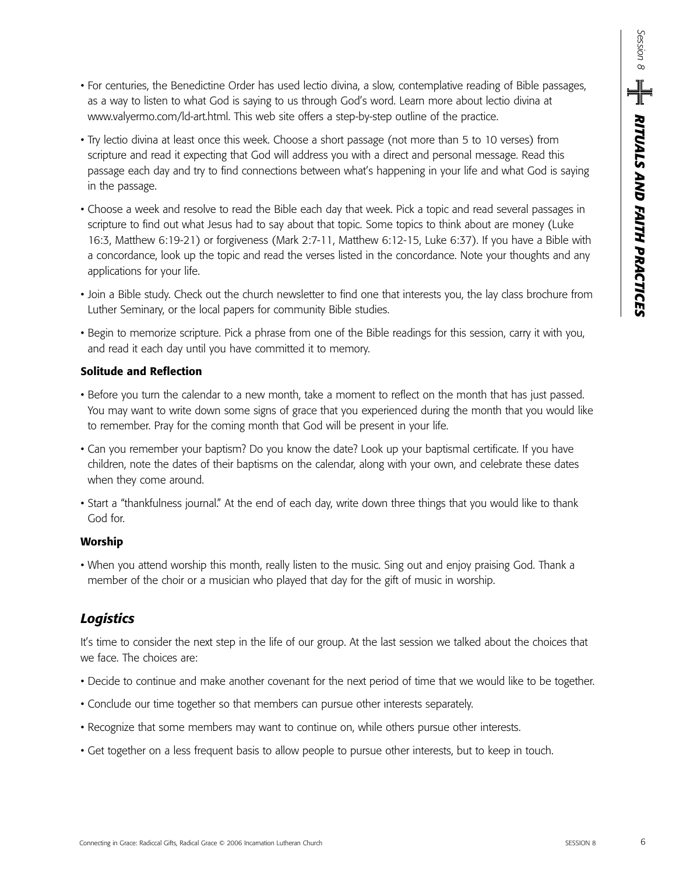- For centuries, the Benedictine Order has used lectio divina, a slow, contemplative reading of Bible passages, as a way to listen to what God is saying to us through God's word. Learn more about lectio divina at www.valyermo.com/ld-art.html. This web site offers a step-by-step outline of the practice.
- Try lectio divina at least once this week. Choose a short passage (not more than 5 to 10 verses) from scripture and read it expecting that God will address you with a direct and personal message. Read this passage each day and try to find connections between what's happening in your life and what God is saying in the passage.
- Choose a week and resolve to read the Bible each day that week. Pick a topic and read several passages in scripture to find out what Jesus had to say about that topic. Some topics to think about are money (Luke 16:3, Matthew 6:19-21) or forgiveness (Mark 2:7-11, Matthew 6:12-15, Luke 6:37). If you have a Bible with a concordance, look up the topic and read the verses listed in the concordance. Note your thoughts and any applications for your life.
- Join a Bible study. Check out the church newsletter to find one that interests you, the lay class brochure from Luther Seminary, or the local papers for community Bible studies.
- Begin to memorize scripture. Pick a phrase from one of the Bible readings for this session, carry it with you, and read it each day until you have committed it to memory.

#### **Solitude and Reflection**

- Before you turn the calendar to a new month, take a moment to reflect on the month that has just passed. You may want to write down some signs of grace that you experienced during the month that you would like to remember. Pray for the coming month that God will be present in your life.
- Can you remember your baptism? Do you know the date? Look up your baptismal certificate. If you have children, note the dates of their baptisms on the calendar, along with your own, and celebrate these dates when they come around.
- Start a "thankfulness journal." At the end of each day, write down three things that you would like to thank God for.

#### **Worship**

• When you attend worship this month, really listen to the music. Sing out and enjoy praising God. Thank a member of the choir or a musician who played that day for the gift of music in worship.

## *Logistics*

It's time to consider the next step in the life of our group. At the last session we talked about the choices that we face. The choices are:

- Decide to continue and make another covenant for the next period of time that we would like to be together.
- Conclude our time together so that members can pursue other interests separately.
- Recognize that some members may want to continue on, while others pursue other interests.
- Get together on a less frequent basis to allow people to pursue other interests, but to keep in touch.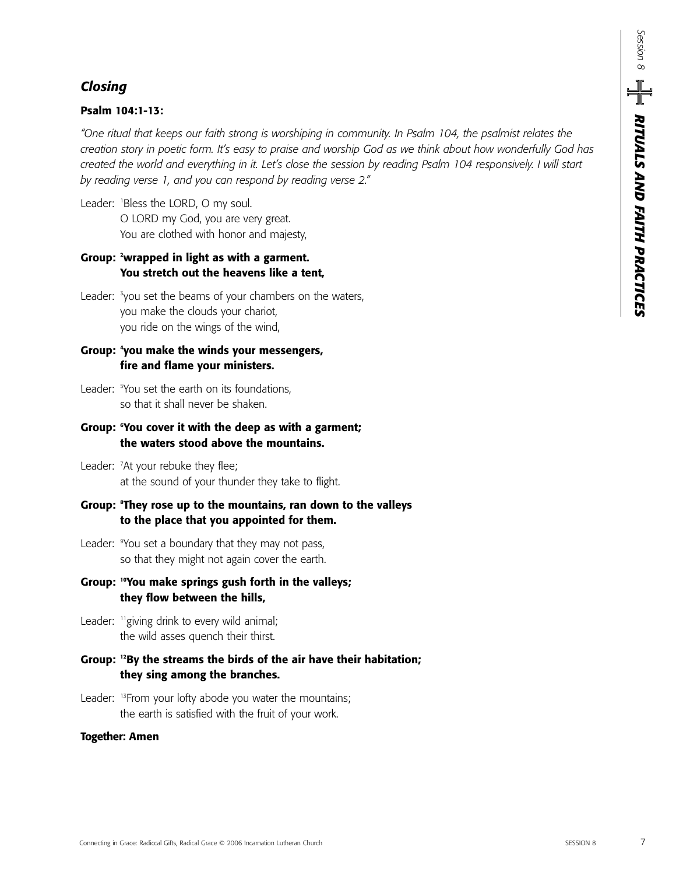## *Closing*

#### **Psalm 104:1-13:**

*"One ritual that keeps our faith strong is worshiping in community. In Psalm 104, the psalmist relates the creation story in poetic form. It's easy to praise and worship God as we think about how wonderfully God has created the world and everything in it. Let's close the session by reading Psalm 104 responsively. I will start by reading verse 1, and you can respond by reading verse 2."* 

Leader: <sup>1</sup> Bless the LORD, O my soul. O LORD my God, you are very great. You are clothed with honor and majesty,

### **Group: 2 wrapped in light as with a garment. You stretch out the heavens like a tent,**

Leader: <sup>3</sup>you set the beams of your chambers on the waters, you make the clouds your chariot, you ride on the wings of the wind,

#### **Group: 4 you make the winds your messengers, fire and flame your ministers.**

Leader: <sup>5</sup> You set the earth on its foundations, so that it shall never be shaken.

#### **Group: 6 You cover it with the deep as with a garment; the waters stood above the mountains.**

Leader: <sup>7</sup>At your rebuke they flee; at the sound of your thunder they take to flight.

#### **Group: <sup>8</sup> They rose up to the mountains, ran down to the valleys to the place that you appointed for them.**

- Leader: <sup>9</sup> You set a boundary that they may not pass, so that they might not again cover the earth.
- **Group: 10You make springs gush forth in the valleys; they flow between the hills,**
- Leader: <sup>11</sup> giving drink to every wild animal; the wild asses quench their thirst.
- **Group: 12By the streams the birds of the air have their habitation; they sing among the branches.**
- Leader: <sup>13</sup>From your lofty abode you water the mountains; the earth is satisfied with the fruit of your work.

#### **Together: Amen**